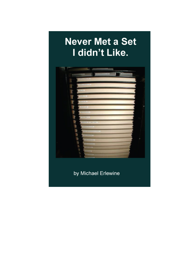## **Never Met a Set** I didn't Like.



by Michael Erlewine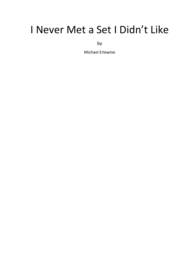# I Never Met a Set I Didn't Like

by

Michael Erlewine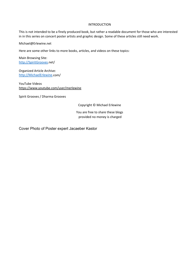#### INTRODUCTION

This is not intended to be a finely produced book, but rather a readable document for those who are interested in in this series on concert poster artists and graphic design. Some of these articles still need work.

Michael@Erlewine.net

Here are some other links to more books, articles, and videos on these topics:

Main Browsing Site: [http://SpiritGrooves.](http://spiritgrooves/)net/

Organized Article Archive: [http://MichaelErlewine.](http://michaelerlewine/)com/

YouTube Videos <https://www.youtube.com/user/merlewine>

Spirit Grooves / Dharma Grooves

Copyright © Michael Erlewine

You are free to share these blogs provided no money is charged

Cover Photo of Poster expert Jacaeber Kastor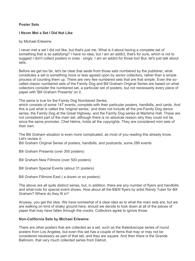## **Poster Sets**

## **I Never Met a Set I Did Not Like**

#### by Michael Erlewine

I never met a set I did not like, but that's just me. What is it about having a complete set of something that is so satisfying? I have no idea, but I am an addict, that's for sure, which is not to suggest I don't collect posters in ones - singly. I am an addict for those too! But, let's just talk about sets.

Before we get too far, let's be clear that aside from those sets numbered by the publisher, what constitutes a set is something more or less agreed upon by senior collectors, rather than a simple process of counting them up. There are very few numbered sets that are that simple. Even the socalled classic numbered sets of the Family Dog and Bill Graham Original Series are based on what collectors consider the numbered set, a particular set of posters, but not necessarily every piece of paper with 'Bill Graham Presents' on it.

The same is true for the Family Dog Numbered Series,

which consists of some 147 events, complete with their particular posters, handbills, and cards. And this is just what is called the 'original series,' and does not include all the pre-Family Dog dance series, the Family Dog at the Great Highway, and the Family Dog series at Maritime Hall. These are not considered part of the main set, although there is no absolute reason why they could not be, since the same promoter, Chet Helms, holds all the copyrights. They are considered mini sets of their own.

The Bill Graham situation is even more complicated, as most of you reading this already know. Let's review it:

Bill Graham Original Series of posters, handbills, and postcards, some 289 events

- Bill Graham Presents (over 300 posters)
- Bill Graham New Fillmore (over 500 posters)
- Bill Graham Special Events (about 31 posters)
- Bill Graham Fillmore East ( a dozen or so posters)

The above are all quite distinct series, but, in addition, there are any number of flyers and handbills and what-nots for special event shows. How about all the B&W flyers by artist Randy Tuten for Bill Graham? Where do they fit in?

Anyway, you get the idea. We have somewhat of a clear idea as to what the main sets are, but we are walking on kind of shaky ground here, should we decide to look down at all of the pieces of paper that may have fallen through the cracks. Collectors agree to ignore those.

#### **Non-California Sets by Michael Erlewine**

There are other posters that are collected as a set, such as the Kaleidoscope series of round posters from Los Angeles, but even this set has a couple of items that may or may not be considered necessary as part of that set, and they are square. And then there is the Grande Ballroom, that very much collected series from Detroit.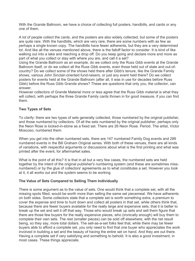With the Grande Ballroom, we have a choice of collecting full posters, handbills, and cards or any one of them.

A lot of people collect the cards, and the posters are also widely collected, but some of the posters are quite rare. With the handbills, which are very rare, there are some numbers with as few as perhaps a single known copy. The handbills have fewer adherents, but they are a very determined lot. And like all the venues mentioned above, there is the falloff factor to consider. It is kind of like walking out into a lake and reaching a drop off. Do you keep going and declare more and more as part of what you collect or stay with where you are, and call it a set?

Using the Grande Ballroom as an example, do we collect only the Russ Gibb events at the Grande Ballroom itself, or do we collect all the Russ Gibb events, even those held out of state and out-ofcountry? Do we collect some of the shows held there after Gibb's tenure, like the Grande Family shows, various John Sinclair-oriented fund-raisers, or just any event held there? Do we collect posters for events held at the Grande Ballroom (after all, it was in use for decades before Russ Gibb) before the Russ Gibb Grande shows? These are questions that only you, the collector, can answer.

However collectors of Grande Material more or less agree that the Russ Gibb material is what they will collect, with perhaps the three Grande Family cards thrown in for good measure, if you can find them.

## **Two Types of Sets**

To clarify: there are two types of sets generally collected, those numbered by the original publisher, and those numbered by collectors. Of all the sets numbered by the original publisher, perhaps only the Neon Rose is locked-in-stone as a fixed set. There are 26 Neon Rose. Period. The artist, Victor Moscoso, numbered them.

When you get into the other numbered sets, there are 147 numbered Family Dog events and 289 numbered events in the Bill Graham Original series. With both of these venues, there are all kinds of variations, with respectful arguments or discussions about what is the first printing and what was printed after the event, for aftermarket sales.

What is the point of all this? It is that in all but a very few cases, the numbered sets are held together by the intent of the original publisher's numbering system (and these are sometimes missnumbered) or by the glue of collectors' agreements as to what constitutes a set. However you look at it, it all works out and the system seems to be working.

## **The Value of Sets Compared to Selling Them Individually**

There is some argument as to the value of sets. One would think that a complete set, with all the missing spots filled, would be worth more than selling the same set piecemeal. We have adherents on both sides. Some collectors state that a complete set is worth something extra, a premium to cover the expense and time to hunt down and collect all posters in that set, while others think that, because there are fewer buyers available for the really large and expensive sets, that it is better to break up the set and sell it off that way. Those who would break up sets and sell them figure that there are those few buyers for the really expensive pieces, who (ironically enough) will buy them to complete their own sets. The rest (smaller pieces) can be sold off elsewhere, with the net result being, so they say, more total dollars. The sell-as-a-set folks feel that, while there may be fewer buyers able to afford a complete set, you only need to find that one buyer who appreciates the work involved in building a set and the beauty of having the entire set on hand. And they are out there. Having a complete set if very satisfying and something to behold. It is also a good investment, in most cases. These things appreciate.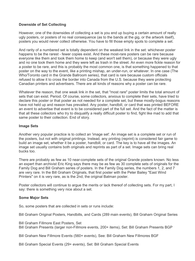## **Downside of Set Collecting**

However, one of the downsides of collecting a set is you end up buying a certain amount of really ugly posters, or posters of no real consequence (as to the bands at the gig, or the artwork itself), posters you would never collect otherwise. You have to fill those empty spots to complete a set.

And rarity of a numbered set is totally dependent on the weakest link in the set: whichever poster happens to be the rarest - fewer copies exist. And these most-rare posters can be rare because everyone like them and took them home to keep (and won't sell them), or because they were ugly and no one took them home and they were left as trash in the street. An even more fickle reason for a poster to be rare, and this is probably the most common one, is that something happened to that poster on the way to the event, like a printing mishap, an under-run, or whatever. In one case (The Who/Toronto card in the Grande Ballroom series), that card is rare because custom officials refused to allow it to cross the border into Canada from the U.S. because they were protecting Canadian printers and advertisers. There are all kinds of reasons why a poster can be rare.

Whatever the reason, that one weak link in the set, that "most rare" poster limits the total amount of sets that can exist. Period. Of course, some collectors, anxious to complete their sets, have tried to declare this poster or that poster as not needed for a complete set, but these mostly-bogus reasons have not held up and reason has prevailed. Any poster, handbill, or card that was printed BEFORE an event to advertise that event is to be considered part of the full set. And the fact of the matter is that all these collectors who try to disqualify a really difficult poster to find, fight like mad to add that same poster to their collection. End of story.

## **Image Sets**

Another very popular practice is to collect an 'image set'. An image set is a complete set or run of the posters, but not with original printings. Instead, any printing (reprint) is considered fair game to build an image set, whether it be a poster, handbill, or card. The key is to have all the images. An image set usually contains both originals and reprints as part of a set. Image sets can bring real bucks too.

There are probably as few as 10 near-complete sets of the original Grande posters known. No less an expert than archivist Eric King says there may be as few as 30 complete sets of originals for the Family Dog and Bill Graham series of posters. In the Family Dog series, the numbers 1, 2, and 7 are very rare. In the Bill Graham Originals, that first poster with the Peter Bailey "East Wind Printers" on it is very rare, as is the 2nd, the original Batman poster.

Poster collectors will continue to argue the merits or lack thereof of collecting sets. For my part, I say: there is something very nice about a set.

## **Some Major Sets**

So, some posters that are collected in sets or runs include:

Bill Graham Original Posters, Handbills, and Cards (289 main events), Bill Graham Original Series

Bill Graham Fillmore East Posters, Set

Bill Graham Presents (larger non-Fillmore events, 200+ items), Set: Bill Graham Presents BGP

Bill Graham New Fillmore Events (560+ events), See: Bill Graham New Fillmores BGF

Bill Graham Special Events (29+ events), Set: Bill Graham Special Events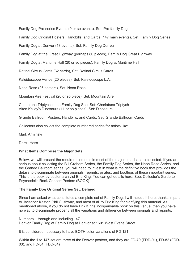Family Dog Pre-series Events (9 or so events), Set: Pre-family Dog

Family Dog Original Posters, Handbills, and Cards (147 main events), Set: Family Dog Series

Family Dog at Denver (13 events), Set: Family Dog Denver

Family Dog at the Great Highway (perhaps 80 pieces), Family Dog Great Highway

Family Dog at Maritime Hall (20 or so pieces), Family Dog at Maritime Hall

Retinal Circus Cards (32 cards), Set: Retinal Circus Cards

Kaleidoscope Venue (20 pieces), Set: Kaleidoscope L.A.

Neon Rose (26 posters), Set: Neon Rose

Mountain Aire Festival (20 or so piece), Set: Mountain Aire

Charlatans Triptych in the Family Dog See, Set: Charlatans Triptych Alton Kelley's Dinosaurs (11 or so pieces), Set: Dinosaurs

Grande Ballroom Posters, Handbills, and Cards, Set: Grande Ballroom Cards

Collectors also collect the complete numbered series for artists like:

Mark Arminski

Derek Hess

## **What Items Comprise the Major Sets**

Below, we will present the required elements in most of the major sets that are collected. If you are serious about collecting the Bill Graham Series, the Family Dog Series, the Neon Rose Series, and the Grande Ballroom series, you will need to invest in what is the definitive book that provides the details to discriminate between originals, reprints, pirates, and bootlegs of these important series. This is the book by poster archivist Eric King. You can get details here: See: Collector's Guide to Psychedelic Rock Concert Posters (BOOK)

## **The Family Dog Original Series Set: Defined**

Since I am asked what constitutes a complete set of Family Dog, I will include it here, thanks in part to Jacaeber Kastor, Phil Cushway, and most of all to Eric King for clarifying this material. As mentioned above, if you do not have Erik Kings indispensable book on this venue, then you have no way to discriminate properly all the variations and difference between originals and reprints.

Numbers 1 through and including 147 Denver Family Dog at Family Dog at Denver at 1601 West Evans Street

It is considered necessary to have BOTH color variations of FD-121

Within the 1 to 147 set are three of the Denver posters, and they are FD-79 (FDD-01), FD-82 (FDD-03), and FD-84 (FDD-04)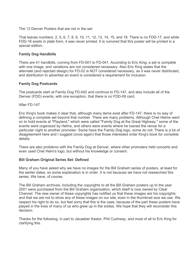The 13 Denver Posters that are not in the set:

That leaves numbers: 2, 5, 6, 7, 8, 9, 10, 11, 12, 13, 14, 15, and 18. There is no FDD-17, and while FDD-16 exists in plate form, it was never printed. It is rumored that this poster will be printed in a special edition.

## **Family Dog Handbills**

There are 41 handbills, running from FD-001 to FD-041. According to Eric King, a set is complete with one image, and variations are not considered necessary. Also Eric King states that the alternate (and rejected design) for FD-02 is NOT considered necessary, as it was never distributed, and distribution to advertise an event is considered a requirement for inclusion.

#### **Family Dog Postcards**

The postcards start at Family Dog FD-042 and continue to FD-147, and also include all of the Denver (FDD) events, with one exception, that there is no FDD-09 card.

After FD-147

Eric King's book makes it clear that, although many items exist after FD-147, there is no way of defining a complete set beyond that number. There are many problems. Although Chet Helms went on to hold events at "Playland," which were called "Family Dog at the Great Highway," some of the events went organized by Helms, and others were events where he loaned the venue for a particular night to another promoter. Some have the Family Dog logo, some do not. There is a lot of disagreement here and I suggest (once again) that those interested order King's book for complete details.

There are also problems with the Family Dog at Denver, where other promoters held concerts and even used Chet Helm's logo, but without his knowledge or consent.

#### **Bill Graham Original Series Set: Defined**

Many of you have asked why we have no images for the Bill Graham series of posters, at least for the earlier dates, so some explanation is in order. It is not because we have not researched this series. We have, of course.

The Bill Graham archives, including the copyrights to all the Bill Graham posters up to the year 2001 were purchased from the Bill Graham organization, which itself is now owned by Clear Channel. The new owner of these copyrights has notified us that these images are his copyrights and that we are not to show any of these images on our site, even in the thumbnail size we use. We respect his right to do so, but feel sorry that this is the case, because of the part these posters have played in the lives of many of us who grew up in the sixties. We hope that they will reconsider this decision.

Thanks for the following, in part to Jacaeber Kastor, Phil Cushway, and most of all to Eric King for clarifying this.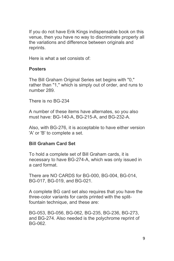If you do not have Erik Kings indispensable book on this venue, then you have no way to discriminate properly all the variations and difference between originals and reprints.

Here is what a set consists of:

#### **Posters**

The Bill Graham Original Series set begins with "0," rather than "1," which is simply out of order, and runs to number 289.

There is no BG-234

A number of these items have alternates, so you also must have: BG-140-A, BG-215-A, and BG-232-A.

Also, with BG-276, it is acceptable to have either version 'A' or 'B' to complete a set.

#### **Bill Graham Card Set**

To hold a complete set of Bill Graham cards, it is necessary to have BG-274-A, which was only issued in a card format.

There are NO CARDS for BG-000, BG-004, BG-014, BG-017, BG-019, and BG-021.

A complete BG card set also requires that you have the three-color variants for cards printed with the splitfountain technique, and these are:

BG-053, BG-056, BG-062, BG-235, BG-236, BG-273, and BG-274. Also needed is the polychrome reprint of BG-062.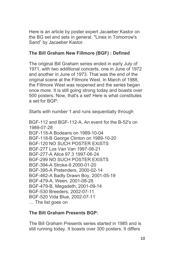Here is an article by poster expert Jacaeber Kastor on the BG set and sets in general. "Lines in Tomorrow's Sand" by Jacaeber Kastor.

## **The Bill Graham New Fillmore (BGF) : Defined**

The original Bill Graham series ended in early July of 1971, with two additional concerts, one in June of 1972 and another in June of 1973. That was the end of the original scene at the Fillmore West. In March of 1988, the Fillmore West was reopened and the series began once more. It is still going strong today and boasts over 500 posters. Now, that's a set! Here is what constitutes a set for BGP:

Starts with number 1 and runs sequentially through

BGF-112 and BGF-112-A, An event for the B-52's on 1989-07-28 BGF-118-A Bodeans on 1989-10-04 BGF-118-B George Clinton on 1989-10-20 BGF-120 NO SUCH POSTER EXISTS BGF-277 Los Van Van 1997-06-21 BGF-277-A Alice 97.3 1997-06-24 BGF-299 NO SUCH POSTER EXISTS BGF-394-A Stroke-9 2000-01-20 BGF-395-A Pretenders, 2000-02-14 BGF-462-A Badly Drawn Boy, 2001-05-19 BGF-479-A, Ween, 2001-08-28 BGF-479-B, Megadeth, 2001-09-14 BGF-530 Breeders, 2002-07-11 BGF-520 Vida Blue, 2002-07-11 … The list goes on

## **The Bill Graham Presents BGP:**

The Bill Graham Presents series started in 1985 and is still running today. It boasts over 300 posters. It differs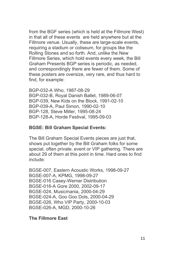from the BGF series (which is held at the Fillmore West) in that all of these events are held anywhere but at the Fillmore venue. Usually, these are large-scale events, requiring a stadium or coliseum, for groups like the Rolling Stones and so forth. And, unlike the New Fillmore Series, which hold events every week, the Bill Graham Presents BGP series is periodic, as needed, and correspondingly there are fewer of them. Some of these posters are oversize, very rare, and thus hard to find, for example:

BGP-032-A Who, 1987-08-29 BGP-032-B, Royal Danish Ballet, 1989-06-07 BGP-039, New Kids on the Block, 1991-02-10 BGP-039-A, Paul Simon, 1990-02-10 BGP-128, Steve Miller, 1995-08-24 BGP-128-A, Horde Festival, 1995-09-03

#### **BGSE: Bill Graham Special Events:**

The Bill Graham Special Events pieces are just that, shows put together by the Bill Graham folks for some special, often private, event or VIP gathering. There are about 29 of them at this point in time. Hard ones to find include:

BGSE-007, Eastern Acoustic Works, 1998-09-27 BGSE-007-A, KPMG, 1998-09-27 BGSE-016 Casey-Werner Distribution BGSE-016-A Gore 2000, 2002-09-17 BGSE-024, Musicmania, 2000-04-29 BGSE-024-A, Goo Goo Dols, 2000-04-29 BGSE-026, Who VIP Party, 2000-10-03 BGSE-026-A, MGD, 2000-10-26

#### **The Fillmore East**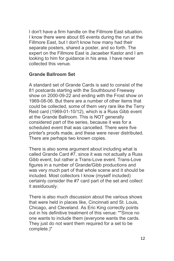I don't have a firm handle on the Fillmore East situation. I know there were about 65 events during the run at the Fillmore East, but I don't know how many had their separate posters, shared a poster, and so forth. The expert on the Fillmore East is Jacaeber Kastor and I am looking to him for guidance in his area. I have never collected this venue.

#### **Grande Ballroom Set**

A standard set of Grande Cards is said to consist of the 81 postcards starting with the Southbound Freeway show on 2000-09-22 and ending with the Frost show on 1969-08-06. But there are a number of other items that could be collected, some of them very rare like the Terry Reid card (1969-01-10/12), which is a Russ Gibb event at the Grande Ballroom. This is NOT generally considered part of the series, because it was for a scheduled event that was cancelled. There were five printer's proofs made, and these were never distributed. There are perhaps two known copies.

There is also some argument about including what is called Grande Card #7, since it was not actually a Russ Gibb event, but rather a Trans-Love event. Trans-Love figures in a number of Grande/Gibb productions and was very much part of that whole scene and it should be included. Most collectors I know (myself included) certainly consider the #7 card part of the set and collect it assiduously.

There is also much discussion about the various shows that were held in places like, Cincinnati and St. Louis, Chicago, and Cleveland. As Eric King correctly points out in his definitive treatment of this venue: ""Since no one wants to include them (everyone wants the cards. They just do not want them required for a set to be complete.)"